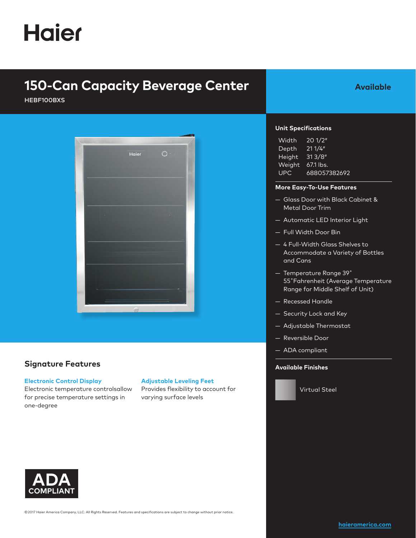# **Haier**

# **150-Can Capacity Beverage Center**

HEBF100BXS



### **Signature Features**

#### **Electronic Control Display**

Electronic temperature controlsallow for precise temperature settings in one-degree

### **Adjustable Leveling Feet**

Provides flexibility to account for varying surface levels



| Width         | 201/2"       |
|---------------|--------------|
| Depth         | 211/4"       |
| Height        | 313/8"       |
| <b>Weight</b> | '67.1 lbs.   |
| <b>UPC</b>    | 688057382692 |

#### **More Easy-To-Use Features**

— Glass Door with Black Cabinet & Metal Door Trim

**Available** 

- Automatic LED Interior Light
- Full Width Door Bin
- 4 Full-Width Glass Shelves to Accommodate a Variety of Bottles and Cans
- Temperature Range 39˚ 55˚Fahrenheit (Average Temperature Range for Middle Shelf of Unit)
- Recessed Handle
- Security Lock and Key
- Adjustable Thermostat
- Reversible Door
- ADA compliant

#### **Available Finishes**